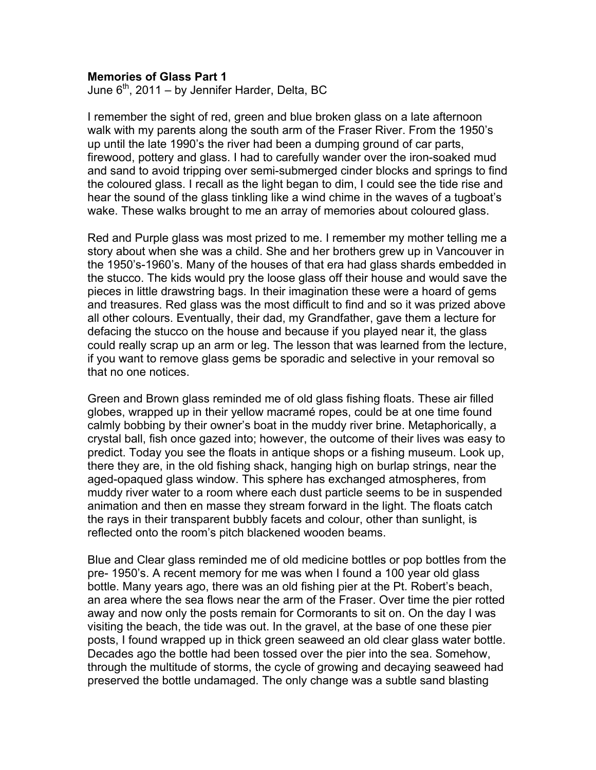## **Memories of Glass Part 1**

June  $6<sup>th</sup>$ , 2011 – by Jennifer Harder, Delta, BC

I remember the sight of red, green and blue broken glass on a late afternoon walk with my parents along the south arm of the Fraser River. From the 1950's up until the late 1990's the river had been a dumping ground of car parts, firewood, pottery and glass. I had to carefully wander over the iron-soaked mud and sand to avoid tripping over semi-submerged cinder blocks and springs to find the coloured glass. I recall as the light began to dim, I could see the tide rise and hear the sound of the glass tinkling like a wind chime in the waves of a tugboat's wake. These walks brought to me an array of memories about coloured glass.

Red and Purple glass was most prized to me. I remember my mother telling me a story about when she was a child. She and her brothers grew up in Vancouver in the 1950's-1960's. Many of the houses of that era had glass shards embedded in the stucco. The kids would pry the loose glass off their house and would save the pieces in little drawstring bags. In their imagination these were a hoard of gems and treasures. Red glass was the most difficult to find and so it was prized above all other colours. Eventually, their dad, my Grandfather, gave them a lecture for defacing the stucco on the house and because if you played near it, the glass could really scrap up an arm or leg. The lesson that was learned from the lecture, if you want to remove glass gems be sporadic and selective in your removal so that no one notices.

Green and Brown glass reminded me of old glass fishing floats. These air filled globes, wrapped up in their yellow macramé ropes, could be at one time found calmly bobbing by their owner's boat in the muddy river brine. Metaphorically, a crystal ball, fish once gazed into; however, the outcome of their lives was easy to predict. Today you see the floats in antique shops or a fishing museum. Look up, there they are, in the old fishing shack, hanging high on burlap strings, near the aged-opaqued glass window. This sphere has exchanged atmospheres, from muddy river water to a room where each dust particle seems to be in suspended animation and then en masse they stream forward in the light. The floats catch the rays in their transparent bubbly facets and colour, other than sunlight, is reflected onto the room's pitch blackened wooden beams.

Blue and Clear glass reminded me of old medicine bottles or pop bottles from the pre- 1950's. A recent memory for me was when I found a 100 year old glass bottle. Many years ago, there was an old fishing pier at the Pt. Robert's beach, an area where the sea flows near the arm of the Fraser. Over time the pier rotted away and now only the posts remain for Cormorants to sit on. On the day I was visiting the beach, the tide was out. In the gravel, at the base of one these pier posts, I found wrapped up in thick green seaweed an old clear glass water bottle. Decades ago the bottle had been tossed over the pier into the sea. Somehow, through the multitude of storms, the cycle of growing and decaying seaweed had preserved the bottle undamaged. The only change was a subtle sand blasting